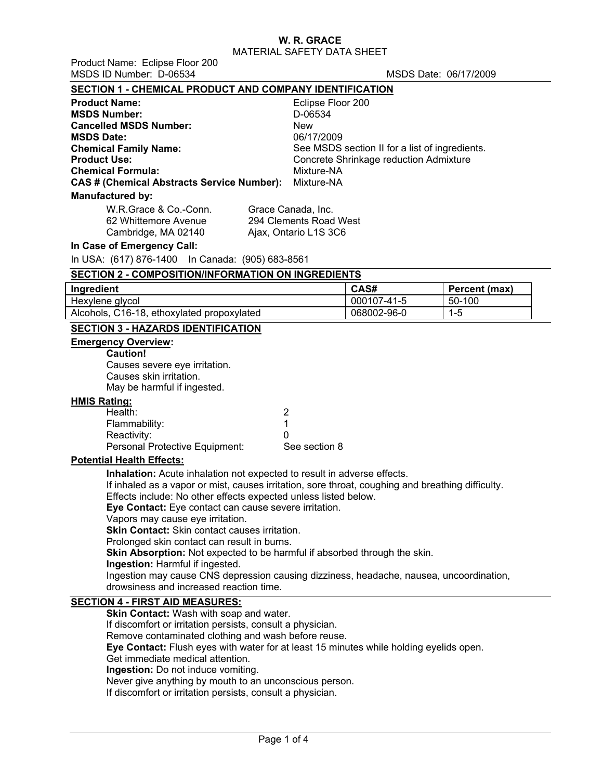MATERIAL SAFETY DATA SHEET

Product Name: Eclipse Floor 200 MSDS ID Number: D-06534 MSDS Date: 06/17/2009

#### **SECTION 1 - CHEMICAL PRODUCT AND COMPANY IDENTIFICATION**

| <b>Product Name:</b>                       | Eclipse Floor 200                              |
|--------------------------------------------|------------------------------------------------|
| <b>MSDS Number:</b>                        | D-06534                                        |
| <b>Cancelled MSDS Number:</b>              | <b>New</b>                                     |
| <b>MSDS Date:</b>                          | 06/17/2009                                     |
| <b>Chemical Family Name:</b>               | See MSDS section II for a list of ingredients. |
| <b>Product Use:</b>                        | Concrete Shrinkage reduction Admixture         |
| <b>Chemical Formula:</b>                   | Mixture-NA                                     |
| CAS # (Chemical Abstracts Service Number): | Mixture-NA                                     |
| <b>Manufactured by:</b>                    |                                                |
| W.R.Grace & Co.-Conn.                      | Grace Canada, Inc.                             |
| 62 Whittemore Avenue                       | 294 Clements Road West                         |
| Cambridge, MA 02140                        | Ajax, Ontario L1S 3C6                          |

#### **In Case of Emergency Call:**

In USA: (617) 876-1400 In Canada: (905) 683-8561

#### **SECTION 2 - COMPOSITION/INFORMATION ON INGREDIENTS**

| Ingredient                                 | CAS#        | Percent (max) |
|--------------------------------------------|-------------|---------------|
| Hexylene glycol                            | 000107-41-5 | 50-100        |
| Alcohols, C16-18, ethoxylated propoxylated | 068002-96-0 | 1-5           |

#### **SECTION 3 - HAZARDS IDENTIFICATION**

### **Emergency Overview:**

**Caution!**

Causes severe eye irritation. Causes skin irritation. May be harmful if ingested.

#### **HMIS Rating:**

| Health:                        |               |
|--------------------------------|---------------|
| Flammability:                  |               |
| Reactivity:                    | $\mathbf{I}$  |
| Personal Protective Equipment: | See section 8 |

#### **Potential Health Effects:**

**Inhalation:** Acute inhalation not expected to result in adverse effects.

If inhaled as a vapor or mist, causes irritation, sore throat, coughing and breathing difficulty.

Effects include: No other effects expected unless listed below.

**Eye Contact:** Eye contact can cause severe irritation.

Vapors may cause eye irritation.

**Skin Contact:** Skin contact causes irritation.

Prolonged skin contact can result in burns.

**Skin Absorption:** Not expected to be harmful if absorbed through the skin.

**Ingestion:** Harmful if ingested.

Ingestion may cause CNS depression causing dizziness, headache, nausea, uncoordination, drowsiness and increased reaction time.

#### **SECTION 4 - FIRST AID MEASURES:**

**Skin Contact:** Wash with soap and water. If discomfort or irritation persists, consult a physician. Remove contaminated clothing and wash before reuse. **Eye Contact:** Flush eyes with water for at least 15 minutes while holding eyelids open. Get immediate medical attention. **Ingestion:** Do not induce vomiting. Never give anything by mouth to an unconscious person. If discomfort or irritation persists, consult a physician.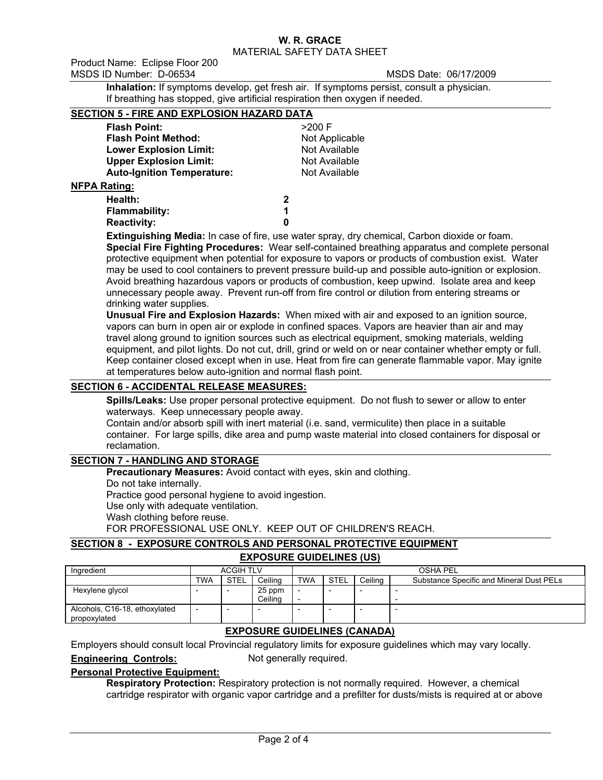MATERIAL SAFETY DATA SHEET

Product Name: Eclipse Floor 200 MSDS ID Number: D-06534 MSDS Date: 06/17/2009

**Inhalation:** If symptoms develop, get fresh air. If symptoms persist, consult a physician. If breathing has stopped, give artificial respiration then oxygen if needed.

# **SECTION 5 - FIRE AND EXPLOSION HAZARD DATA**

| <b>Flash Point:</b>               | $>200$ F       |
|-----------------------------------|----------------|
| <b>Flash Point Method:</b>        | Not Applicable |
| <b>Lower Explosion Limit:</b>     | Not Available  |
| <b>Upper Explosion Limit:</b>     | Not Available  |
| <b>Auto-Ignition Temperature:</b> | Not Available  |
| <b>NFPA Rating:</b>               |                |
| ⊔∧alth∙                           |                |

**Health: 2 Flammability: 1 Reactivity: 0**

**Extinguishing Media:** In case of fire, use water spray, dry chemical, Carbon dioxide or foam. **Special Fire Fighting Procedures:** Wear self-contained breathing apparatus and complete personal protective equipment when potential for exposure to vapors or products of combustion exist. Water may be used to cool containers to prevent pressure build-up and possible auto-ignition or explosion. Avoid breathing hazardous vapors or products of combustion, keep upwind. Isolate area and keep unnecessary people away. Prevent run-off from fire control or dilution from entering streams or drinking water supplies.

**Unusual Fire and Explosion Hazards:** When mixed with air and exposed to an ignition source, vapors can burn in open air or explode in confined spaces. Vapors are heavier than air and may travel along ground to ignition sources such as electrical equipment, smoking materials, welding equipment, and pilot lights. Do not cut, drill, grind or weld on or near container whether empty or full. Keep container closed except when in use. Heat from fire can generate flammable vapor. May ignite at temperatures below auto-ignition and normal flash point.

## **SECTION 6 - ACCIDENTAL RELEASE MEASURES:**

**Spills/Leaks:** Use proper personal protective equipment. Do not flush to sewer or allow to enter waterways. Keep unnecessary people away.

Contain and/or absorb spill with inert material (i.e. sand, vermiculite) then place in a suitable container. For large spills, dike area and pump waste material into closed containers for disposal or reclamation.

## **SECTION 7 - HANDLING AND STORAGE**

**Precautionary Measures:** Avoid contact with eyes, skin and clothing.

Do not take internally.

Practice good personal hygiene to avoid ingestion.

Use only with adequate ventilation.

Wash clothing before reuse.

FOR PROFESSIONAL USE ONLY. KEEP OUT OF CHILDREN'S REACH.

### **SECTION 8 - EXPOSURE CONTROLS AND PERSONAL PROTECTIVE EQUIPMENT EXPOSURE GUIDELINES (US)**

| Ingredient                                    |            | <b>ACGIH TLV</b> |                   |                               | OSHA PEL                                                           |  |                          |  |  |
|-----------------------------------------------|------------|------------------|-------------------|-------------------------------|--------------------------------------------------------------------|--|--------------------------|--|--|
|                                               | <b>TWA</b> | <b>STEL</b>      | Ceiling           | <b>TWA</b>                    | <b>STEL</b><br>Ceilina<br>Substance Specific and Mineral Dust PELs |  |                          |  |  |
| Hexylene glycol                               |            | -                | 25 ppm<br>Ceilina | $\overline{\phantom{0}}$<br>- |                                                                    |  | -                        |  |  |
| Alcohols, C16-18, ethoxylated<br>propoxylated |            | -                |                   |                               |                                                                    |  | $\overline{\phantom{0}}$ |  |  |

# **EXPOSURE GUIDELINES (CANADA)**

Employers should consult local Provincial regulatory limits for exposure guidelines which may vary locally. **Engineering Controls:** Not generally required.

## **Personal Protective Equipment:**

**Respiratory Protection:** Respiratory protection is not normally required. However, a chemical cartridge respirator with organic vapor cartridge and a prefilter for dusts/mists is required at or above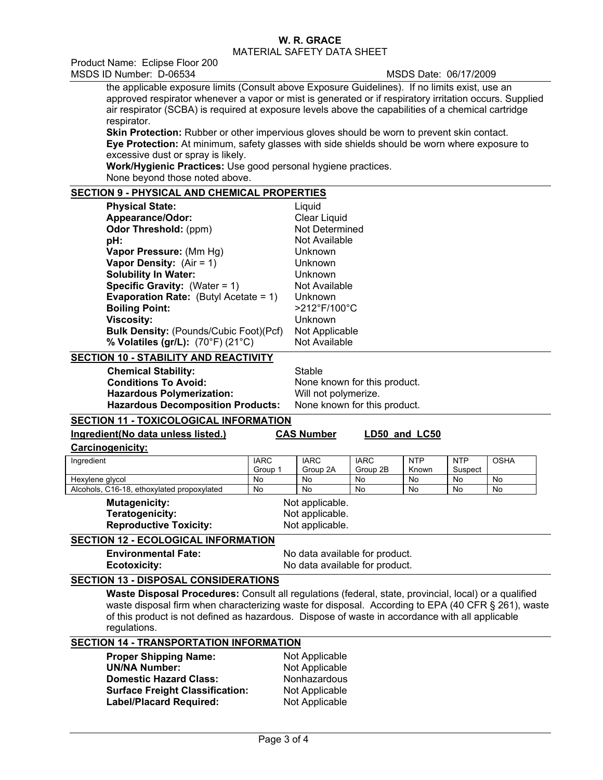MATERIAL SAFETY DATA SHEET

Product Name: Eclipse Floor 200 MSDS ID Number: D-06534 MSDS Date: 06/17/2009

the applicable exposure limits (Consult above Exposure Guidelines). If no limits exist, use an approved respirator whenever a vapor or mist is generated or if respiratory irritation occurs. Supplied air respirator (SCBA) is required at exposure levels above the capabilities of a chemical cartridge respirator.

**Skin Protection:** Rubber or other impervious gloves should be worn to prevent skin contact. **Eye Protection:** At minimum, safety glasses with side shields should be worn where exposure to excessive dust or spray is likely.

**Work/Hygienic Practices:** Use good personal hygiene practices. None beyond those noted above.

## **SECTION 9 - PHYSICAL AND CHEMICAL PROPERTIES**

| <b>Physical State:</b>                           | Liquid                            |
|--------------------------------------------------|-----------------------------------|
| Appearance/Odor:                                 | Clear Liquid                      |
| <b>Odor Threshold:</b> (ppm)                     | Not Determined                    |
| pH:                                              | Not Available                     |
| Vapor Pressure: (Mm Hg)                          | <b>Unknown</b>                    |
| <b>Vapor Density:</b> $(Air = 1)$                | <b>Unknown</b>                    |
| <b>Solubility In Water:</b>                      | <b>Unknown</b>                    |
| <b>Specific Gravity:</b> (Water = $1$ )          | Not Available                     |
| <b>Evaporation Rate:</b> (Butyl Acetate = $1$ )  | Unknown                           |
| <b>Boiling Point:</b>                            | $>212^{\circ}$ F/100 $^{\circ}$ C |
| <b>Viscosity:</b>                                | <b>Unknown</b>                    |
| <b>Bulk Density: (Pounds/Cubic Foot)(Pcf)</b>    | Not Applicable                    |
| % Volatiles (gr/L): $(70^{\circ}F)(21^{\circ}C)$ | Not Available                     |
|                                                  |                                   |

#### **SECTION 10 - STABILITY AND REACTIVITY**

**Chemical Stability:** Stable **Conditions To Avoid:** None known for this product. **Hazardous Polymerization:** Will not polymerize. **Hazardous Decomposition Products:** None known for this product.

# **SECTION 11 - TOXICOLOGICAL INFORMATION**

| Ingredient(No data unless listed.)                |                        | <b>CAS Number</b>                                                |                         | LD50 and LC50       |                       |             |
|---------------------------------------------------|------------------------|------------------------------------------------------------------|-------------------------|---------------------|-----------------------|-------------|
| <b>Carcinogenicity:</b>                           |                        |                                                                  |                         |                     |                       |             |
| Ingredient                                        | <b>IARC</b><br>Group 1 | <b>IARC</b><br>Group 2A                                          | <b>IARC</b><br>Group 2B | <b>NTP</b><br>Known | <b>NTP</b><br>Suspect | <b>OSHA</b> |
| Hexylene glycol                                   | No                     | No                                                               | No.                     | No.                 | No.                   | No          |
| Alcohols, C16-18, ethoxylated propoxylated        | No                     | No                                                               | No                      | No                  | No                    | No          |
| <b>Mutagenicity:</b><br>Teratogenicity:           |                        | Not applicable.<br>Not applicable.                               |                         |                     |                       |             |
| Not applicable.<br><b>Reproductive Toxicity:</b>  |                        |                                                                  |                         |                     |                       |             |
| <b>SECTION 12 - ECOLOGICAL INFORMATION</b>        |                        |                                                                  |                         |                     |                       |             |
| <b>Environmental Fate:</b><br><b>Ecotoxicity:</b> |                        | No data available for product.<br>No data available for product. |                         |                     |                       |             |

### **SECTION 13 - DISPOSAL CONSIDERATIONS**

**Waste Disposal Procedures:** Consult all regulations (federal, state, provincial, local) or a qualified waste disposal firm when characterizing waste for disposal. According to EPA (40 CFR § 261), waste of this product is not defined as hazardous. Dispose of waste in accordance with all applicable regulations.

#### **SECTION 14 - TRANSPORTATION INFORMATION**

| <b>Proper Shipping Name:</b>           | Not Applicable |
|----------------------------------------|----------------|
| <b>UN/NA Number:</b>                   | Not Applicable |
| <b>Domestic Hazard Class:</b>          | Nonhazardous   |
| <b>Surface Freight Classification:</b> | Not Applicable |
| <b>Label/Placard Required:</b>         | Not Applicable |